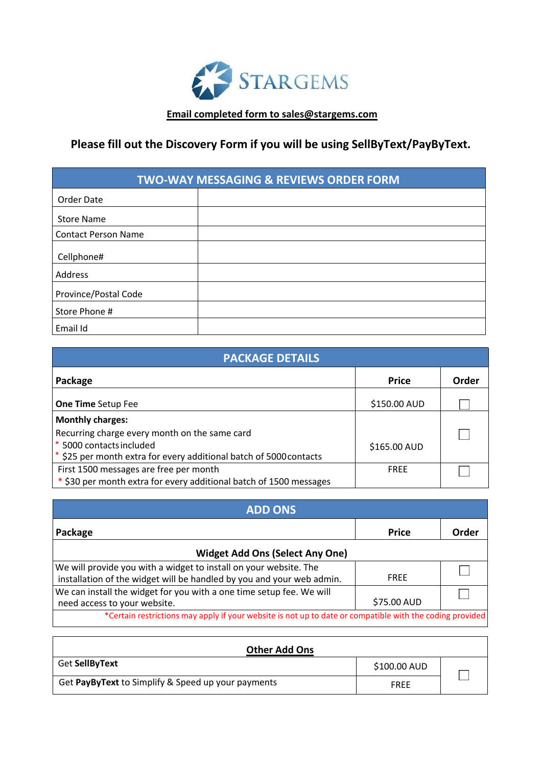

### **Email completed form to [sales@stargems.com](mailto:Emailcompletedformtosales@stargems.com)**

## **Please fill out the Discovery Form if you will be using SellByText/PayByText.**

| <b>TWO-WAY MESSAGING &amp; REVIEWS ORDER FORM</b> |  |  |
|---------------------------------------------------|--|--|
| Order Date                                        |  |  |
| <b>Store Name</b>                                 |  |  |
| <b>Contact Person Name</b>                        |  |  |
| Cellphone#                                        |  |  |
| Address                                           |  |  |
| Province/Postal Code                              |  |  |
| Store Phone #                                     |  |  |
| Email Id                                          |  |  |

| <b>PACKAGE DETAILS</b>                                             |              |       |
|--------------------------------------------------------------------|--------------|-------|
| Package                                                            | <b>Price</b> | Order |
| <b>One Time Setup Fee</b>                                          | \$150.00 AUD |       |
| <b>Monthly charges:</b>                                            |              |       |
| Recurring charge every month on the same card                      |              |       |
| * 5000 contacts included                                           | \$165.00 AUD |       |
| * \$25 per month extra for every additional batch of 5000 contacts |              |       |
| First 1500 messages are free per month                             | <b>FREE</b>  |       |
| * \$30 per month extra for every additional batch of 1500 messages |              |       |

| <b>ADD ONS</b>                                                                                                                             |              |       |  |
|--------------------------------------------------------------------------------------------------------------------------------------------|--------------|-------|--|
| Package                                                                                                                                    | <b>Price</b> | Order |  |
| <b>Widget Add Ons (Select Any One)</b>                                                                                                     |              |       |  |
| We will provide you with a widget to install on your website. The<br>installation of the widget will be handled by you and your web admin. | <b>FREE</b>  |       |  |
| We can install the widget for you with a one time setup fee. We will<br>\$75.00 AUD<br>need access to your website.                        |              |       |  |
| *Certain restrictions may apply if your website is not up to date or compatible with the coding provided                                   |              |       |  |

| <b>Other Add Ons</b>                               |              |  |
|----------------------------------------------------|--------------|--|
| Get SellByText                                     | \$100.00 AUD |  |
| Get PayByText to Simplify & Speed up your payments | <b>FREE</b>  |  |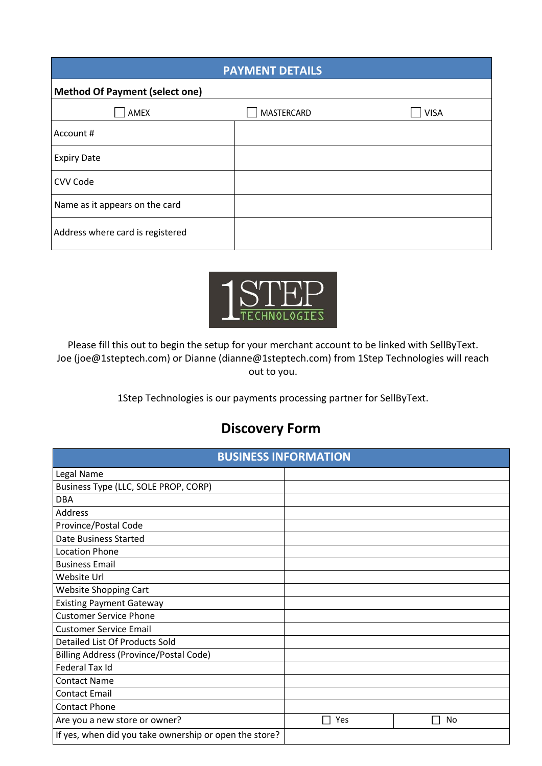| <b>PAYMENT DETAILS</b>                |            |             |
|---------------------------------------|------------|-------------|
| <b>Method Of Payment (select one)</b> |            |             |
| AMEX                                  | MASTERCARD | <b>VISA</b> |
| Account #                             |            |             |
| <b>Expiry Date</b>                    |            |             |
| CVV Code                              |            |             |
| Name as it appears on the card        |            |             |
| Address where card is registered      |            |             |



Please fill this out to begin the setup for your merchant account to be linked with SellByText. Joe (joe@1steptech.com) or Dianne (dianne@1steptech.com) from 1Step Technologies will reach out to you.

1Step Technologies is our payments processing partner for SellByText.

# **Discovery Form**

| <b>BUSINESS INFORMATION</b>                            |     |              |  |
|--------------------------------------------------------|-----|--------------|--|
| Legal Name                                             |     |              |  |
| Business Type (LLC, SOLE PROP, CORP)                   |     |              |  |
| <b>DBA</b>                                             |     |              |  |
| Address                                                |     |              |  |
| Province/Postal Code                                   |     |              |  |
| Date Business Started                                  |     |              |  |
| <b>Location Phone</b>                                  |     |              |  |
| <b>Business Email</b>                                  |     |              |  |
| Website Url                                            |     |              |  |
| <b>Website Shopping Cart</b>                           |     |              |  |
| <b>Existing Payment Gateway</b>                        |     |              |  |
| <b>Customer Service Phone</b>                          |     |              |  |
| <b>Customer Service Email</b>                          |     |              |  |
| Detailed List Of Products Sold                         |     |              |  |
| <b>Billing Address (Province/Postal Code)</b>          |     |              |  |
| Federal Tax Id                                         |     |              |  |
| <b>Contact Name</b>                                    |     |              |  |
| <b>Contact Email</b>                                   |     |              |  |
| <b>Contact Phone</b>                                   |     |              |  |
| Are you a new store or owner?                          | Yes | No<br>$\Box$ |  |
| If yes, when did you take ownership or open the store? |     |              |  |